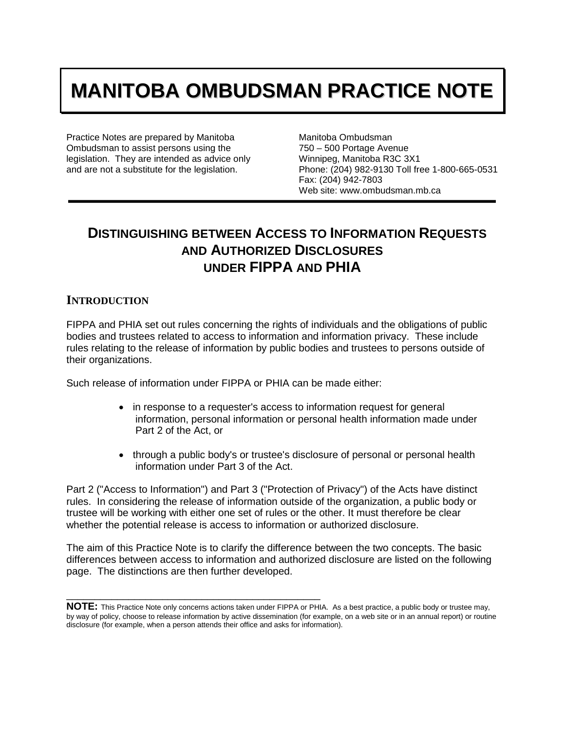# **MANITOBA OMBUDSMAN PRACTICE NOTE**

Practice Notes are prepared by Manitoba Ombudsman to assist persons using the legislation. They are intended as advice only and are not a substitute for the legislation.

Manitoba Ombudsman 750 – 500 Portage Avenue Winnipeg, Manitoba R3C 3X1 Phone: (204) 982-9130 Toll free 1-800-665-0531 Fax: (204) 942-7803 Web site: www.ombudsman.mb.ca

## **DISTINGUISHING BETWEEN ACCESS TO INFORMATION REQUESTS AND AUTHORIZED DISCLOSURES UNDER FIPPA AND PHIA**

### **INTRODUCTION**

FIPPA and PHIA set out rules concerning the rights of individuals and the obligations of public bodies and trustees related to access to information and information privacy. These include rules relating to the release of information by public bodies and trustees to persons outside of their organizations.

Such release of information under FIPPA or PHIA can be made either:

\_\_\_\_\_\_\_\_\_\_\_\_\_\_\_\_\_\_\_\_\_\_\_\_\_\_\_\_\_\_\_\_\_\_\_\_\_\_\_\_\_\_\_\_\_

- in response to a requester's access to information request for general information, personal information or personal health information made under Part 2 of the Act, or
- through a public body's or trustee's disclosure of personal or personal health information under Part 3 of the Act.

Part 2 ("Access to Information") and Part 3 ("Protection of Privacy") of the Acts have distinct rules. In considering the release of information outside of the organization, a public body or trustee will be working with either one set of rules or the other. It must therefore be clear whether the potential release is access to information or authorized disclosure.

The aim of this Practice Note is to clarify the difference between the two concepts. The basic differences between access to information and authorized disclosure are listed on the following page. The distinctions are then further developed.

**NOTE:** This Practice Note only concerns actions taken under FIPPA or PHIA. As a best practice, a public body or trustee may, by way of policy, choose to release information by active dissemination (for example, on a web site or in an annual report) or routine disclosure (for example, when a person attends their office and asks for information).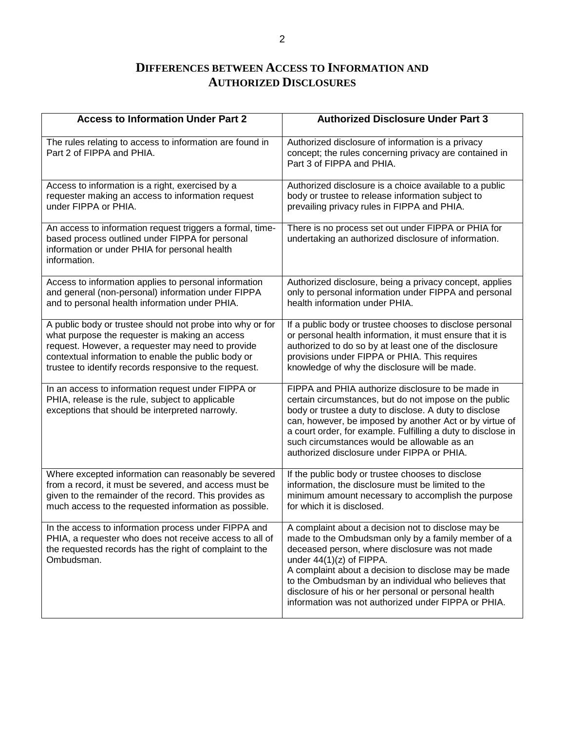## **DIFFERENCES BETWEEN ACCESS TO INFORMATION AND AUTHORIZED DISCLOSURES**

| <b>Access to Information Under Part 2</b>                                                                                                                                                                                                                                         | <b>Authorized Disclosure Under Part 3</b>                                                                                                                                                                                                                                                                                                                                                                               |
|-----------------------------------------------------------------------------------------------------------------------------------------------------------------------------------------------------------------------------------------------------------------------------------|-------------------------------------------------------------------------------------------------------------------------------------------------------------------------------------------------------------------------------------------------------------------------------------------------------------------------------------------------------------------------------------------------------------------------|
| The rules relating to access to information are found in<br>Part 2 of FIPPA and PHIA.                                                                                                                                                                                             | Authorized disclosure of information is a privacy<br>concept; the rules concerning privacy are contained in<br>Part 3 of FIPPA and PHIA.                                                                                                                                                                                                                                                                                |
| Access to information is a right, exercised by a<br>requester making an access to information request<br>under FIPPA or PHIA.                                                                                                                                                     | Authorized disclosure is a choice available to a public<br>body or trustee to release information subject to<br>prevailing privacy rules in FIPPA and PHIA.                                                                                                                                                                                                                                                             |
| An access to information request triggers a formal, time-<br>based process outlined under FIPPA for personal<br>information or under PHIA for personal health<br>information.                                                                                                     | There is no process set out under FIPPA or PHIA for<br>undertaking an authorized disclosure of information.                                                                                                                                                                                                                                                                                                             |
| Access to information applies to personal information<br>and general (non-personal) information under FIPPA<br>and to personal health information under PHIA.                                                                                                                     | Authorized disclosure, being a privacy concept, applies<br>only to personal information under FIPPA and personal<br>health information under PHIA.                                                                                                                                                                                                                                                                      |
| A public body or trustee should not probe into why or for<br>what purpose the requester is making an access<br>request. However, a requester may need to provide<br>contextual information to enable the public body or<br>trustee to identify records responsive to the request. | If a public body or trustee chooses to disclose personal<br>or personal health information, it must ensure that it is<br>authorized to do so by at least one of the disclosure<br>provisions under FIPPA or PHIA. This requires<br>knowledge of why the disclosure will be made.                                                                                                                                        |
| In an access to information request under FIPPA or<br>PHIA, release is the rule, subject to applicable<br>exceptions that should be interpreted narrowly.                                                                                                                         | FIPPA and PHIA authorize disclosure to be made in<br>certain circumstances, but do not impose on the public<br>body or trustee a duty to disclose. A duty to disclose<br>can, however, be imposed by another Act or by virtue of<br>a court order, for example. Fulfilling a duty to disclose in<br>such circumstances would be allowable as an<br>authorized disclosure under FIPPA or PHIA.                           |
| Where excepted information can reasonably be severed<br>from a record, it must be severed, and access must be<br>given to the remainder of the record. This provides as<br>much access to the requested information as possible.                                                  | If the public body or trustee chooses to disclose<br>information, the disclosure must be limited to the<br>minimum amount necessary to accomplish the purpose<br>for which it is disclosed.                                                                                                                                                                                                                             |
| In the access to information process under FIPPA and<br>PHIA, a requester who does not receive access to all of<br>the requested records has the right of complaint to the<br>Ombudsman.                                                                                          | A complaint about a decision not to disclose may be<br>made to the Ombudsman only by a family member of a<br>deceased person, where disclosure was not made<br>under $44(1)(z)$ of FIPPA.<br>A complaint about a decision to disclose may be made<br>to the Ombudsman by an individual who believes that<br>disclosure of his or her personal or personal health<br>information was not authorized under FIPPA or PHIA. |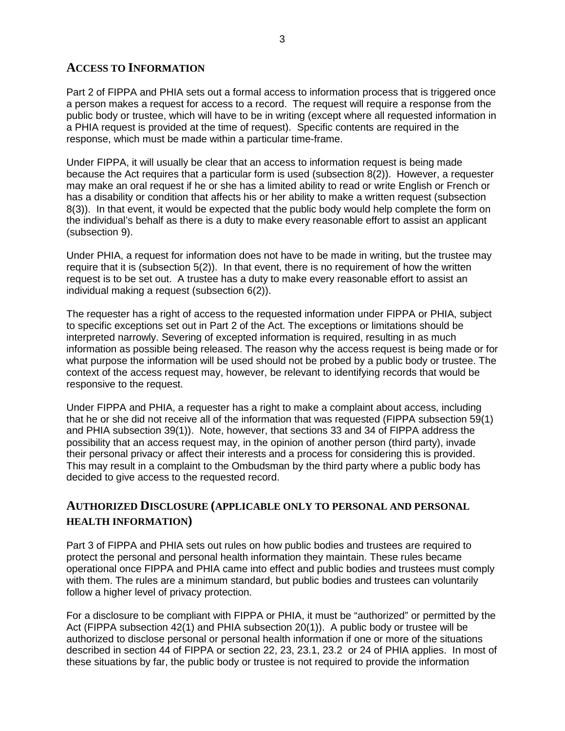## **ACCESS TO INFORMATION**

Part 2 of FIPPA and PHIA sets out a formal access to information process that is triggered once a person makes a request for access to a record. The request will require a response from the public body or trustee, which will have to be in writing (except where all requested information in a PHIA request is provided at the time of request). Specific contents are required in the response, which must be made within a particular time-frame.

Under FIPPA, it will usually be clear that an access to information request is being made because the Act requires that a particular form is used (subsection 8(2)). However, a requester may make an oral request if he or she has a limited ability to read or write English or French or has a disability or condition that affects his or her ability to make a written request (subsection 8(3)). In that event, it would be expected that the public body would help complete the form on the individual's behalf as there is a duty to make every reasonable effort to assist an applicant (subsection 9).

Under PHIA, a request for information does not have to be made in writing, but the trustee may require that it is (subsection 5(2)). In that event, there is no requirement of how the written request is to be set out. A trustee has a duty to make every reasonable effort to assist an individual making a request (subsection 6(2)).

The requester has a right of access to the requested information under FIPPA or PHIA, subject to specific exceptions set out in Part 2 of the Act. The exceptions or limitations should be interpreted narrowly. Severing of excepted information is required, resulting in as much information as possible being released. The reason why the access request is being made or for what purpose the information will be used should not be probed by a public body or trustee. The context of the access request may, however, be relevant to identifying records that would be responsive to the request.

Under FIPPA and PHIA, a requester has a right to make a complaint about access, including that he or she did not receive all of the information that was requested (FIPPA subsection 59(1) and PHIA subsection 39(1)). Note, however, that sections 33 and 34 of FIPPA address the possibility that an access request may, in the opinion of another person (third party), invade their personal privacy or affect their interests and a process for considering this is provided. This may result in a complaint to the Ombudsman by the third party where a public body has decided to give access to the requested record.

### **AUTHORIZED DISCLOSURE (APPLICABLE ONLY TO PERSONAL AND PERSONAL HEALTH INFORMATION)**

Part 3 of FIPPA and PHIA sets out rules on how public bodies and trustees are required to protect the personal and personal health information they maintain. These rules became operational once FIPPA and PHIA came into effect and public bodies and trustees must comply with them. The rules are a minimum standard, but public bodies and trustees can voluntarily follow a higher level of privacy protection.

For a disclosure to be compliant with FIPPA or PHIA, it must be "authorized" or permitted by the Act (FIPPA subsection 42(1) and PHIA subsection 20(1)). A public body or trustee will be authorized to disclose personal or personal health information if one or more of the situations described in section 44 of FIPPA or section 22, 23, 23.1, 23.2 or 24 of PHIA applies. In most of these situations by far, the public body or trustee is not required to provide the information